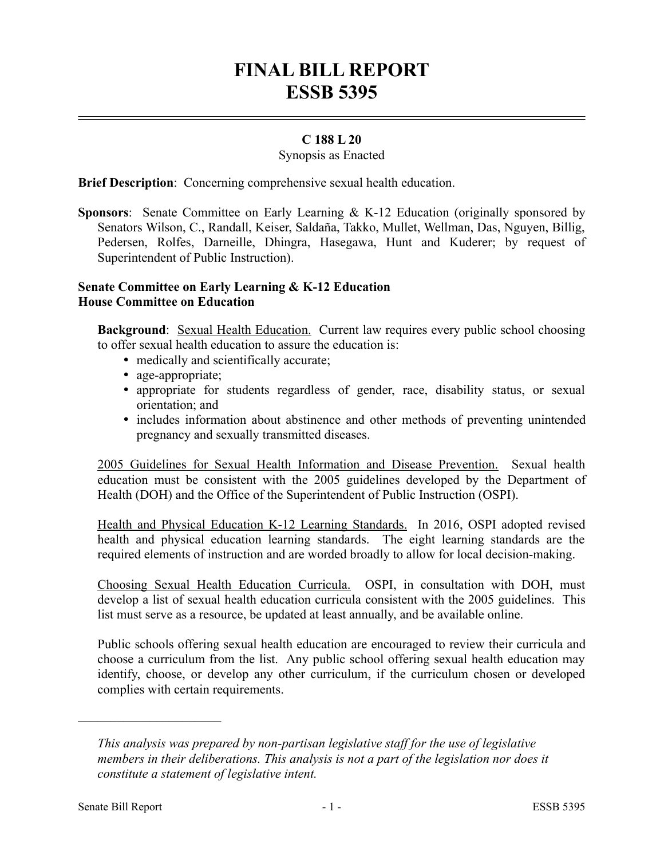# **FINAL BILL REPORT ESSB 5395**

## **C 188 L 20**

#### Synopsis as Enacted

**Brief Description**: Concerning comprehensive sexual health education.

**Sponsors**: Senate Committee on Early Learning & K-12 Education (originally sponsored by Senators Wilson, C., Randall, Keiser, Saldaña, Takko, Mullet, Wellman, Das, Nguyen, Billig, Pedersen, Rolfes, Darneille, Dhingra, Hasegawa, Hunt and Kuderer; by request of Superintendent of Public Instruction).

### **Senate Committee on Early Learning & K-12 Education House Committee on Education**

**Background**: Sexual Health Education. Current law requires every public school choosing to offer sexual health education to assure the education is:

- medically and scientifically accurate;
- age-appropriate;
- appropriate for students regardless of gender, race, disability status, or sexual orientation; and
- includes information about abstinence and other methods of preventing unintended pregnancy and sexually transmitted diseases.

2005 Guidelines for Sexual Health Information and Disease Prevention. Sexual health education must be consistent with the 2005 guidelines developed by the Department of Health (DOH) and the Office of the Superintendent of Public Instruction (OSPI).

Health and Physical Education K-12 Learning Standards. In 2016, OSPI adopted revised health and physical education learning standards. The eight learning standards are the required elements of instruction and are worded broadly to allow for local decision-making.

Choosing Sexual Health Education Curricula. OSPI, in consultation with DOH, must develop a list of sexual health education curricula consistent with the 2005 guidelines. This list must serve as a resource, be updated at least annually, and be available online.

Public schools offering sexual health education are encouraged to review their curricula and choose a curriculum from the list. Any public school offering sexual health education may identify, choose, or develop any other curriculum, if the curriculum chosen or developed complies with certain requirements.

––––––––––––––––––––––

*This analysis was prepared by non-partisan legislative staff for the use of legislative members in their deliberations. This analysis is not a part of the legislation nor does it constitute a statement of legislative intent.*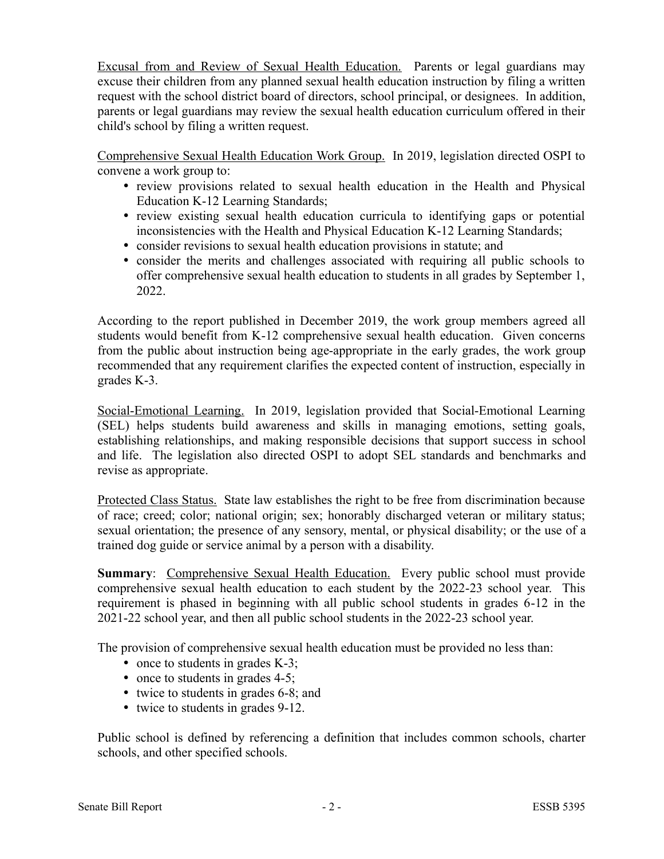Excusal from and Review of Sexual Health Education. Parents or legal guardians may excuse their children from any planned sexual health education instruction by filing a written request with the school district board of directors, school principal, or designees. In addition, parents or legal guardians may review the sexual health education curriculum offered in their child's school by filing a written request.

Comprehensive Sexual Health Education Work Group. In 2019, legislation directed OSPI to convene a work group to:

- review provisions related to sexual health education in the Health and Physical Education K-12 Learning Standards;
- review existing sexual health education curricula to identifying gaps or potential inconsistencies with the Health and Physical Education K-12 Learning Standards;
- consider revisions to sexual health education provisions in statute; and
- consider the merits and challenges associated with requiring all public schools to offer comprehensive sexual health education to students in all grades by September 1, 2022.

According to the report published in December 2019, the work group members agreed all students would benefit from K-12 comprehensive sexual health education. Given concerns from the public about instruction being age-appropriate in the early grades, the work group recommended that any requirement clarifies the expected content of instruction, especially in grades K-3.

Social-Emotional Learning. In 2019, legislation provided that Social-Emotional Learning (SEL) helps students build awareness and skills in managing emotions, setting goals, establishing relationships, and making responsible decisions that support success in school and life. The legislation also directed OSPI to adopt SEL standards and benchmarks and revise as appropriate.

Protected Class Status. State law establishes the right to be free from discrimination because of race; creed; color; national origin; sex; honorably discharged veteran or military status; sexual orientation; the presence of any sensory, mental, or physical disability; or the use of a trained dog guide or service animal by a person with a disability.

**Summary**: Comprehensive Sexual Health Education. Every public school must provide comprehensive sexual health education to each student by the 2022-23 school year. This requirement is phased in beginning with all public school students in grades 6-12 in the 2021-22 school year, and then all public school students in the 2022-23 school year.

The provision of comprehensive sexual health education must be provided no less than:

- once to students in grades K-3;
- once to students in grades 4-5;
- twice to students in grades 6-8; and
- twice to students in grades 9-12.

Public school is defined by referencing a definition that includes common schools, charter schools, and other specified schools.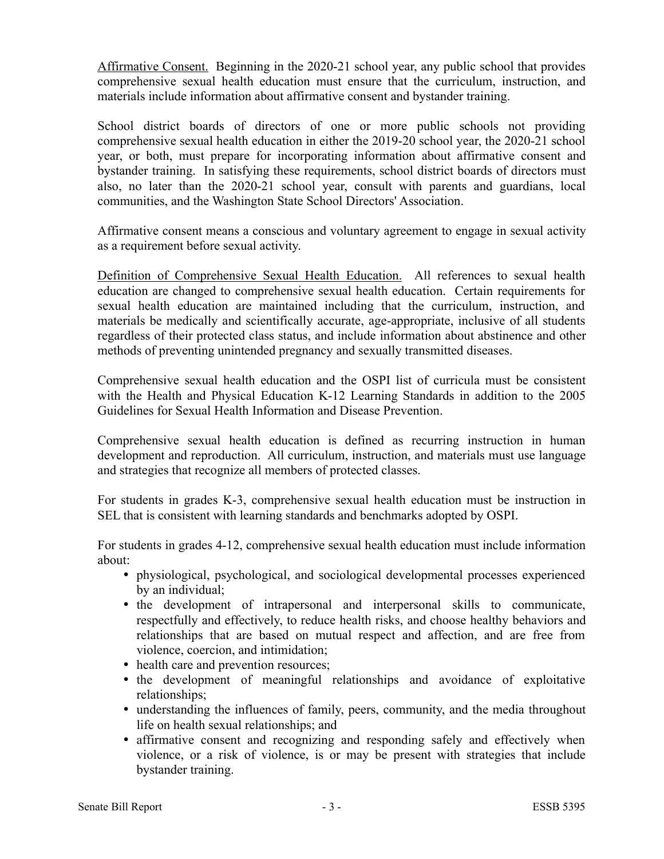Affirmative Consent. Beginning in the 2020-21 school year, any public school that provides comprehensive sexual health education must ensure that the curriculum, instruction, and materials include information about affirmative consent and bystander training.

School district boards of directors of one or more public schools not providing comprehensive sexual health education in either the 2019-20 school year, the 2020-21 school year, or both, must prepare for incorporating information about affirmative consent and bystander training. In satisfying these requirements, school district boards of directors must also, no later than the 2020-21 school year, consult with parents and guardians, local communities, and the Washington State School Directors' Association.

Affirmative consent means a conscious and voluntary agreement to engage in sexual activity as a requirement before sexual activity.

Definition of Comprehensive Sexual Health Education. All references to sexual health education are changed to comprehensive sexual health education. Certain requirements for sexual health education are maintained including that the curriculum, instruction, and materials be medically and scientifically accurate, age-appropriate, inclusive of all students regardless of their protected class status, and include information about abstinence and other methods of preventing unintended pregnancy and sexually transmitted diseases.

Comprehensive sexual health education and the OSPI list of curricula must be consistent with the Health and Physical Education K-12 Learning Standards in addition to the 2005 Guidelines for Sexual Health Information and Disease Prevention.

Comprehensive sexual health education is defined as recurring instruction in human development and reproduction. All curriculum, instruction, and materials must use language and strategies that recognize all members of protected classes.

For students in grades K-3, comprehensive sexual health education must be instruction in SEL that is consistent with learning standards and benchmarks adopted by OSPI.

For students in grades 4-12, comprehensive sexual health education must include information about:

- physiological, psychological, and sociological developmental processes experienced by an individual;
- the development of intrapersonal and interpersonal skills to communicate, respectfully and effectively, to reduce health risks, and choose healthy behaviors and relationships that are based on mutual respect and affection, and are free from violence, coercion, and intimidation;
- health care and prevention resources;
- the development of meaningful relationships and avoidance of exploitative relationships;
- understanding the influences of family, peers, community, and the media throughout life on health sexual relationships; and
- affirmative consent and recognizing and responding safely and effectively when violence, or a risk of violence, is or may be present with strategies that include bystander training.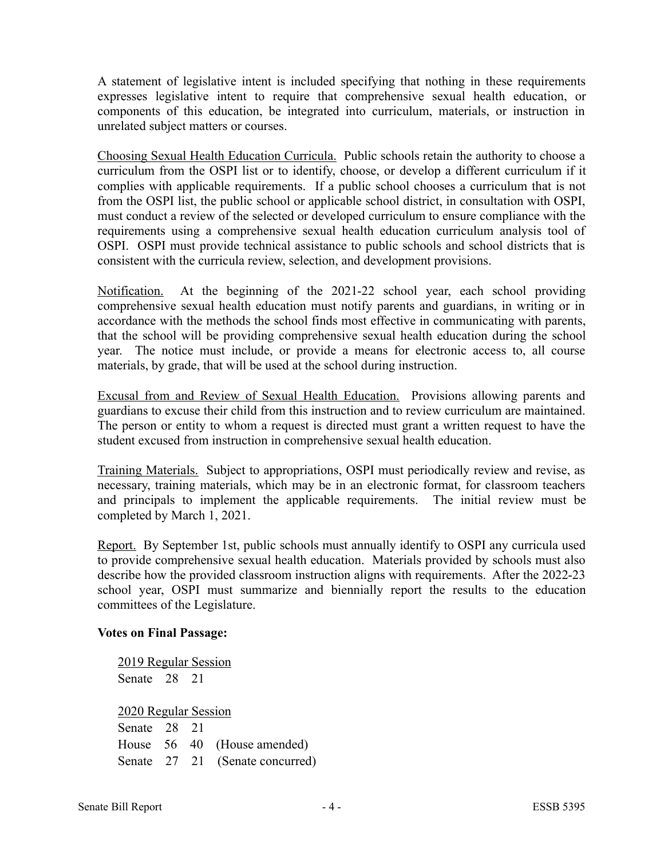A statement of legislative intent is included specifying that nothing in these requirements expresses legislative intent to require that comprehensive sexual health education, or components of this education, be integrated into curriculum, materials, or instruction in unrelated subject matters or courses.

Choosing Sexual Health Education Curricula. Public schools retain the authority to choose a curriculum from the OSPI list or to identify, choose, or develop a different curriculum if it complies with applicable requirements. If a public school chooses a curriculum that is not from the OSPI list, the public school or applicable school district, in consultation with OSPI, must conduct a review of the selected or developed curriculum to ensure compliance with the requirements using a comprehensive sexual health education curriculum analysis tool of OSPI. OSPI must provide technical assistance to public schools and school districts that is consistent with the curricula review, selection, and development provisions.

Notification. At the beginning of the 2021-22 school year, each school providing comprehensive sexual health education must notify parents and guardians, in writing or in accordance with the methods the school finds most effective in communicating with parents, that the school will be providing comprehensive sexual health education during the school year. The notice must include, or provide a means for electronic access to, all course materials, by grade, that will be used at the school during instruction.

Excusal from and Review of Sexual Health Education. Provisions allowing parents and guardians to excuse their child from this instruction and to review curriculum are maintained. The person or entity to whom a request is directed must grant a written request to have the student excused from instruction in comprehensive sexual health education.

Training Materials. Subject to appropriations, OSPI must periodically review and revise, as necessary, training materials, which may be in an electronic format, for classroom teachers and principals to implement the applicable requirements. The initial review must be completed by March 1, 2021.

Report. By September 1st, public schools must annually identify to OSPI any curricula used to provide comprehensive sexual health education. Materials provided by schools must also describe how the provided classroom instruction aligns with requirements. After the 2022-23 school year, OSPI must summarize and biennially report the results to the education committees of the Legislature.

#### **Votes on Final Passage:**

2019 Regular Session Senate 28 21

2020 Regular Session Senate 28 21 House 56 40 (House amended) Senate 27 21 (Senate concurred)